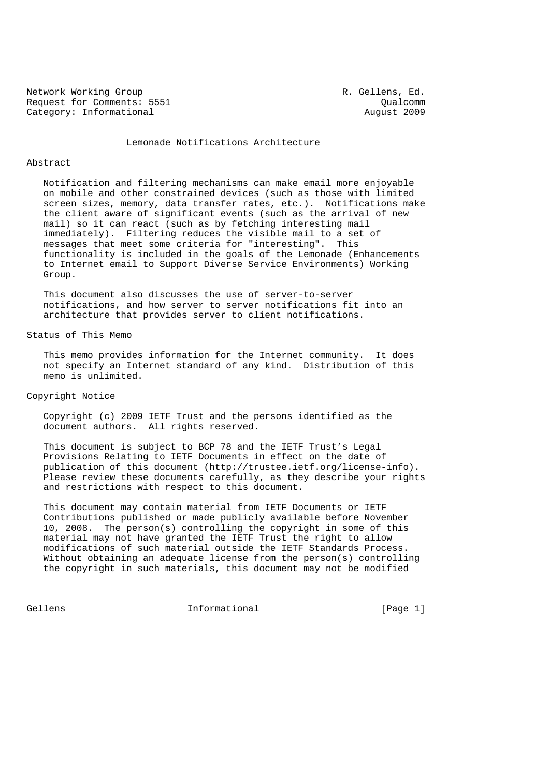Network Working Group **R. Gellens, Ed.** Request for Comments: 5551 Qualcomm<br>
Category: Informational August 2009 Category: Informational

Lemonade Notifications Architecture

#### Abstract

 Notification and filtering mechanisms can make email more enjoyable on mobile and other constrained devices (such as those with limited screen sizes, memory, data transfer rates, etc.). Notifications make the client aware of significant events (such as the arrival of new mail) so it can react (such as by fetching interesting mail immediately). Filtering reduces the visible mail to a set of messages that meet some criteria for "interesting". This functionality is included in the goals of the Lemonade (Enhancements to Internet email to Support Diverse Service Environments) Working Group.

 This document also discusses the use of server-to-server notifications, and how server to server notifications fit into an architecture that provides server to client notifications.

Status of This Memo

 This memo provides information for the Internet community. It does not specify an Internet standard of any kind. Distribution of this memo is unlimited.

# Copyright Notice

 Copyright (c) 2009 IETF Trust and the persons identified as the document authors. All rights reserved.

 This document is subject to BCP 78 and the IETF Trust's Legal Provisions Relating to IETF Documents in effect on the date of publication of this document (http://trustee.ietf.org/license-info). Please review these documents carefully, as they describe your rights and restrictions with respect to this document.

 This document may contain material from IETF Documents or IETF Contributions published or made publicly available before November 10, 2008. The person(s) controlling the copyright in some of this material may not have granted the IETF Trust the right to allow modifications of such material outside the IETF Standards Process. Without obtaining an adequate license from the person(s) controlling the copyright in such materials, this document may not be modified

Gellens 1nformational [Page 1]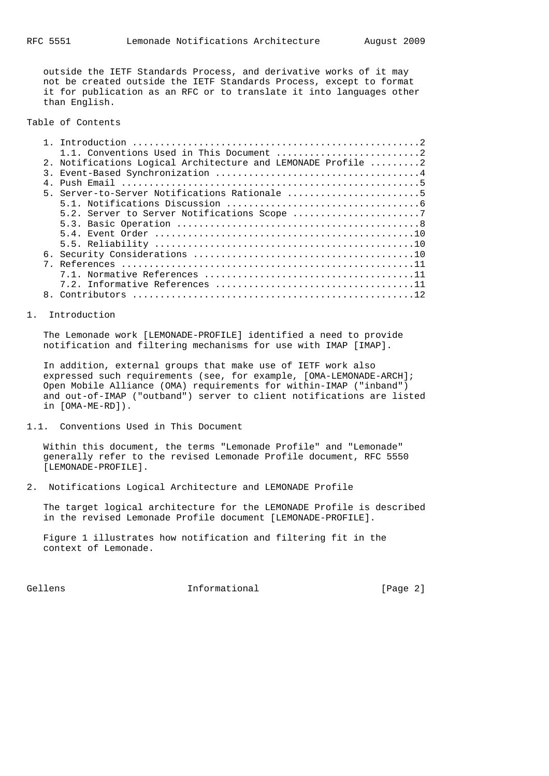outside the IETF Standards Process, and derivative works of it may not be created outside the IETF Standards Process, except to format it for publication as an RFC or to translate it into languages other than English.

Table of Contents

|  | 2. Notifications Logical Architecture and LEMONADE Profile 2 |
|--|--------------------------------------------------------------|
|  |                                                              |
|  |                                                              |
|  | 5. Server-to-Server Notifications Rationale 5                |
|  |                                                              |
|  |                                                              |
|  |                                                              |
|  |                                                              |
|  |                                                              |
|  |                                                              |
|  |                                                              |
|  |                                                              |
|  |                                                              |
|  |                                                              |
|  |                                                              |

#### 1. Introduction

 The Lemonade work [LEMONADE-PROFILE] identified a need to provide notification and filtering mechanisms for use with IMAP [IMAP].

 In addition, external groups that make use of IETF work also expressed such requirements (see, for example, [OMA-LEMONADE-ARCH]; Open Mobile Alliance (OMA) requirements for within-IMAP ("inband") and out-of-IMAP ("outband") server to client notifications are listed in [OMA-ME-RD]).

1.1. Conventions Used in This Document

 Within this document, the terms "Lemonade Profile" and "Lemonade" generally refer to the revised Lemonade Profile document, RFC 5550 [LEMONADE-PROFILE].

2. Notifications Logical Architecture and LEMONADE Profile

 The target logical architecture for the LEMONADE Profile is described in the revised Lemonade Profile document [LEMONADE-PROFILE].

 Figure 1 illustrates how notification and filtering fit in the context of Lemonade.

Gellens 1nformational [Page 2]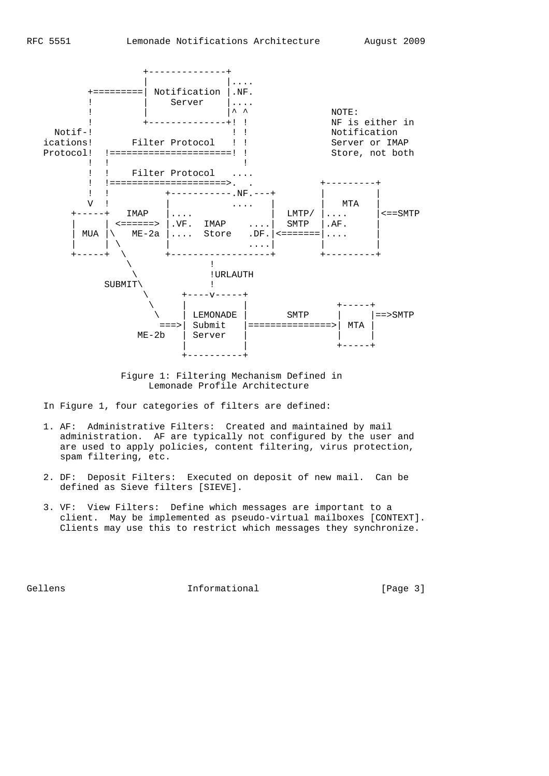

 Figure 1: Filtering Mechanism Defined in Lemonade Profile Architecture

In Figure 1, four categories of filters are defined:

- 1. AF: Administrative Filters: Created and maintained by mail administration. AF are typically not configured by the user and are used to apply policies, content filtering, virus protection, spam filtering, etc.
- 2. DF: Deposit Filters: Executed on deposit of new mail. Can be defined as Sieve filters [SIEVE].
- 3. VF: View Filters: Define which messages are important to a client. May be implemented as pseudo-virtual mailboxes [CONTEXT]. Clients may use this to restrict which messages they synchronize.

Gellens 1nformational [Page 3]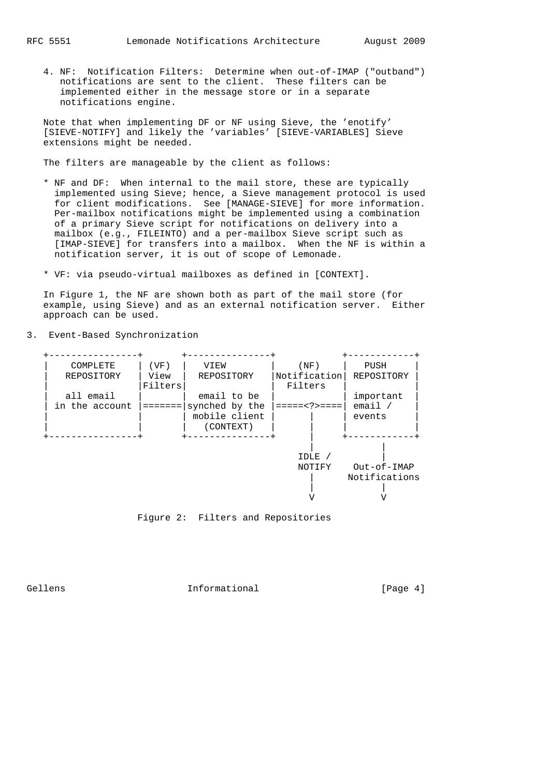4. NF: Notification Filters: Determine when out-of-IMAP ("outband") notifications are sent to the client. These filters can be implemented either in the message store or in a separate notifications engine.

 Note that when implementing DF or NF using Sieve, the 'enotify' [SIEVE-NOTIFY] and likely the 'variables' [SIEVE-VARIABLES] Sieve extensions might be needed.

The filters are manageable by the client as follows:

- \* NF and DF: When internal to the mail store, these are typically implemented using Sieve; hence, a Sieve management protocol is used for client modifications. See [MANAGE-SIEVE] for more information. Per-mailbox notifications might be implemented using a combination of a primary Sieve script for notifications on delivery into a mailbox (e.g., FILEINTO) and a per-mailbox Sieve script such as [IMAP-SIEVE] for transfers into a mailbox. When the NF is within a notification server, it is out of scope of Lemonade.
- \* VF: via pseudo-virtual mailboxes as defined in [CONTEXT].

 In Figure 1, the NF are shown both as part of the mail store (for example, using Sieve) and as an external notification server. Either approach can be used.

3. Event-Based Synchronization





Gellens 1nformational [Page 4]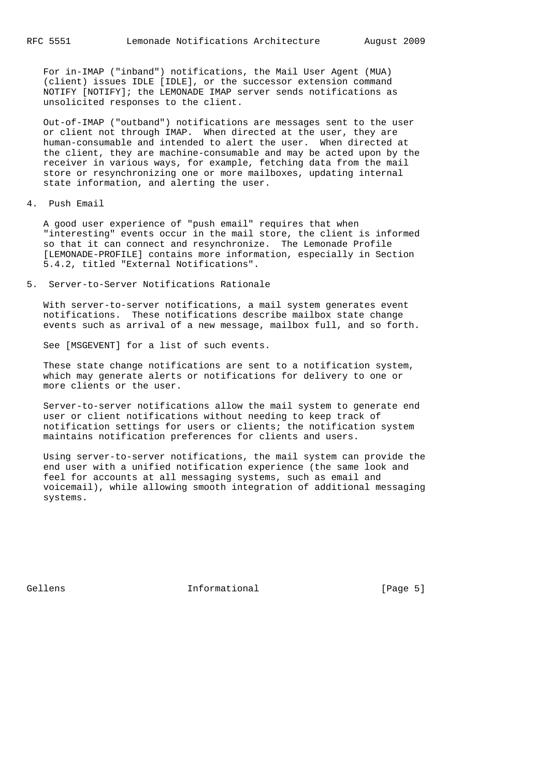For in-IMAP ("inband") notifications, the Mail User Agent (MUA) (client) issues IDLE [IDLE], or the successor extension command NOTIFY [NOTIFY]; the LEMONADE IMAP server sends notifications as unsolicited responses to the client.

 Out-of-IMAP ("outband") notifications are messages sent to the user or client not through IMAP. When directed at the user, they are human-consumable and intended to alert the user. When directed at the client, they are machine-consumable and may be acted upon by the receiver in various ways, for example, fetching data from the mail store or resynchronizing one or more mailboxes, updating internal state information, and alerting the user.

4. Push Email

 A good user experience of "push email" requires that when "interesting" events occur in the mail store, the client is informed so that it can connect and resynchronize. The Lemonade Profile [LEMONADE-PROFILE] contains more information, especially in Section 5.4.2, titled "External Notifications".

5. Server-to-Server Notifications Rationale

 With server-to-server notifications, a mail system generates event notifications. These notifications describe mailbox state change events such as arrival of a new message, mailbox full, and so forth.

See [MSGEVENT] for a list of such events.

 These state change notifications are sent to a notification system, which may generate alerts or notifications for delivery to one or more clients or the user.

 Server-to-server notifications allow the mail system to generate end user or client notifications without needing to keep track of notification settings for users or clients; the notification system maintains notification preferences for clients and users.

 Using server-to-server notifications, the mail system can provide the end user with a unified notification experience (the same look and feel for accounts at all messaging systems, such as email and voicemail), while allowing smooth integration of additional messaging systems.

Gellens **Informational Informational** [Page 5]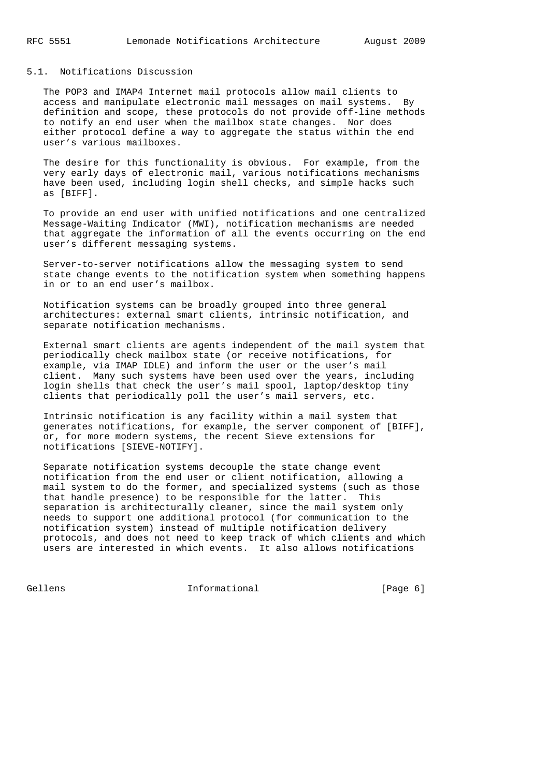### 5.1. Notifications Discussion

 The POP3 and IMAP4 Internet mail protocols allow mail clients to access and manipulate electronic mail messages on mail systems. By definition and scope, these protocols do not provide off-line methods to notify an end user when the mailbox state changes. Nor does either protocol define a way to aggregate the status within the end user's various mailboxes.

 The desire for this functionality is obvious. For example, from the very early days of electronic mail, various notifications mechanisms have been used, including login shell checks, and simple hacks such as [BIFF].

 To provide an end user with unified notifications and one centralized Message-Waiting Indicator (MWI), notification mechanisms are needed that aggregate the information of all the events occurring on the end user's different messaging systems.

 Server-to-server notifications allow the messaging system to send state change events to the notification system when something happens in or to an end user's mailbox.

 Notification systems can be broadly grouped into three general architectures: external smart clients, intrinsic notification, and separate notification mechanisms.

 External smart clients are agents independent of the mail system that periodically check mailbox state (or receive notifications, for example, via IMAP IDLE) and inform the user or the user's mail client. Many such systems have been used over the years, including login shells that check the user's mail spool, laptop/desktop tiny clients that periodically poll the user's mail servers, etc.

 Intrinsic notification is any facility within a mail system that generates notifications, for example, the server component of [BIFF], or, for more modern systems, the recent Sieve extensions for notifications [SIEVE-NOTIFY].

 Separate notification systems decouple the state change event notification from the end user or client notification, allowing a mail system to do the former, and specialized systems (such as those that handle presence) to be responsible for the latter. This separation is architecturally cleaner, since the mail system only needs to support one additional protocol (for communication to the notification system) instead of multiple notification delivery protocols, and does not need to keep track of which clients and which users are interested in which events. It also allows notifications

Gellens 1nformational [Page 6]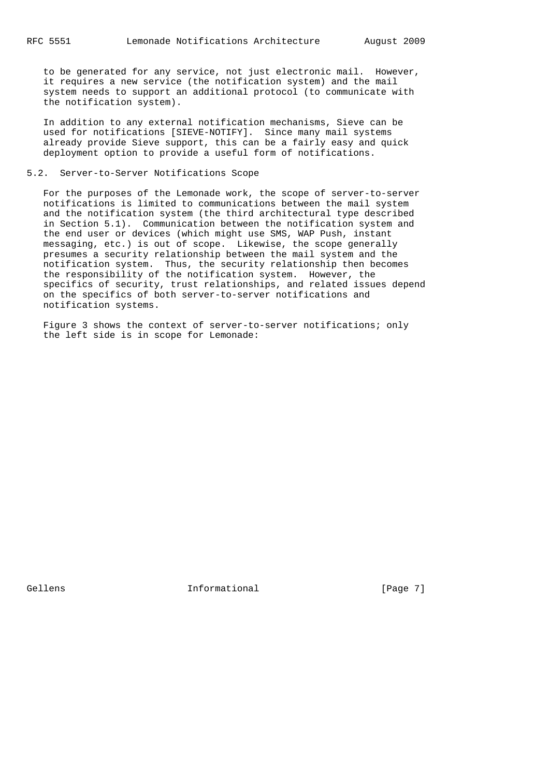to be generated for any service, not just electronic mail. However, it requires a new service (the notification system) and the mail system needs to support an additional protocol (to communicate with the notification system).

 In addition to any external notification mechanisms, Sieve can be used for notifications [SIEVE-NOTIFY]. Since many mail systems already provide Sieve support, this can be a fairly easy and quick deployment option to provide a useful form of notifications.

# 5.2. Server-to-Server Notifications Scope

 For the purposes of the Lemonade work, the scope of server-to-server notifications is limited to communications between the mail system and the notification system (the third architectural type described in Section 5.1). Communication between the notification system and the end user or devices (which might use SMS, WAP Push, instant messaging, etc.) is out of scope. Likewise, the scope generally presumes a security relationship between the mail system and the notification system. Thus, the security relationship then becomes the responsibility of the notification system. However, the specifics of security, trust relationships, and related issues depend on the specifics of both server-to-server notifications and notification systems.

 Figure 3 shows the context of server-to-server notifications; only the left side is in scope for Lemonade:

Gellens 1nformational [Page 7]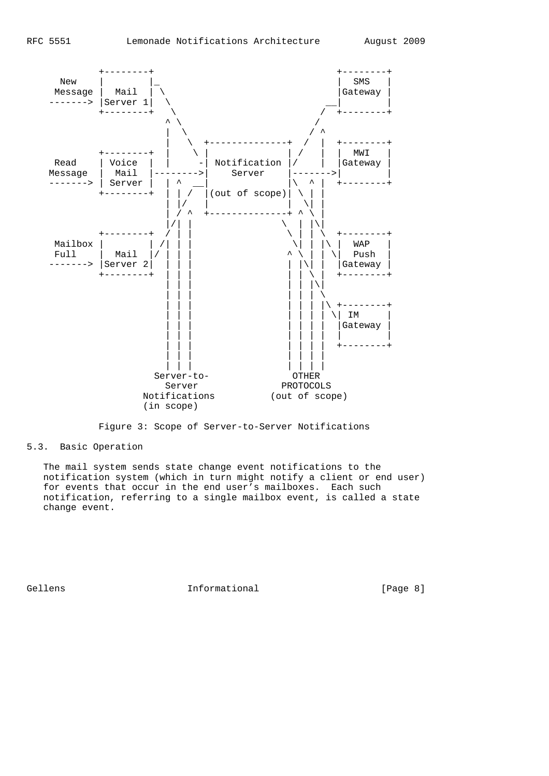

Figure 3: Scope of Server-to-Server Notifications

5.3. Basic Operation

 The mail system sends state change event notifications to the notification system (which in turn might notify a client or end user) for events that occur in the end user's mailboxes. Each such notification, referring to a single mailbox event, is called a state change event.

Gellens 1nformational [Page 8]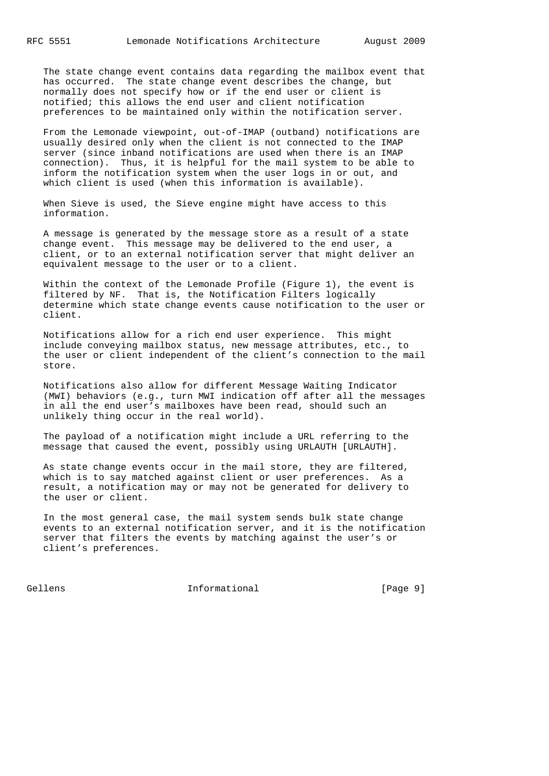The state change event contains data regarding the mailbox event that has occurred. The state change event describes the change, but normally does not specify how or if the end user or client is notified; this allows the end user and client notification preferences to be maintained only within the notification server.

 From the Lemonade viewpoint, out-of-IMAP (outband) notifications are usually desired only when the client is not connected to the IMAP server (since inband notifications are used when there is an IMAP connection). Thus, it is helpful for the mail system to be able to inform the notification system when the user logs in or out, and which client is used (when this information is available).

 When Sieve is used, the Sieve engine might have access to this information.

 A message is generated by the message store as a result of a state change event. This message may be delivered to the end user, a client, or to an external notification server that might deliver an equivalent message to the user or to a client.

 Within the context of the Lemonade Profile (Figure 1), the event is filtered by NF. That is, the Notification Filters logically determine which state change events cause notification to the user or client.

 Notifications allow for a rich end user experience. This might include conveying mailbox status, new message attributes, etc., to the user or client independent of the client's connection to the mail store.

 Notifications also allow for different Message Waiting Indicator (MWI) behaviors (e.g., turn MWI indication off after all the messages in all the end user's mailboxes have been read, should such an unlikely thing occur in the real world).

 The payload of a notification might include a URL referring to the message that caused the event, possibly using URLAUTH [URLAUTH].

 As state change events occur in the mail store, they are filtered, which is to say matched against client or user preferences. As a result, a notification may or may not be generated for delivery to the user or client.

 In the most general case, the mail system sends bulk state change events to an external notification server, and it is the notification server that filters the events by matching against the user's or client's preferences.

Gellens 1nformational [Page 9]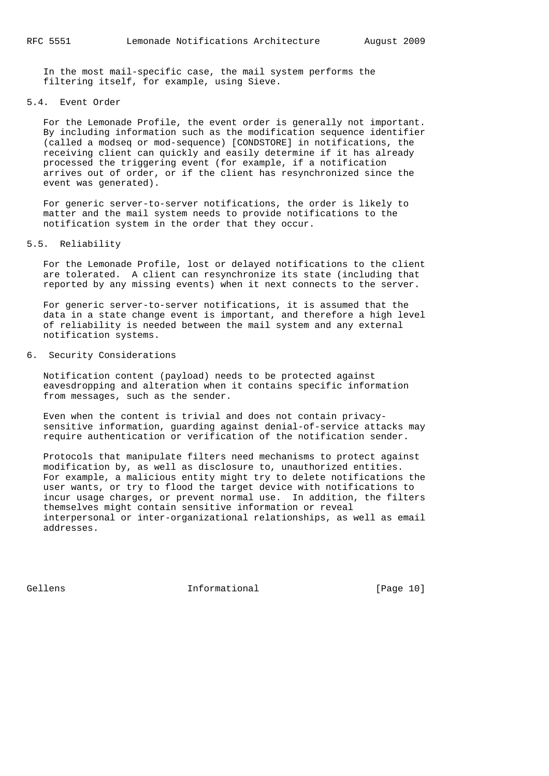In the most mail-specific case, the mail system performs the filtering itself, for example, using Sieve.

## 5.4. Event Order

 For the Lemonade Profile, the event order is generally not important. By including information such as the modification sequence identifier (called a modseq or mod-sequence) [CONDSTORE] in notifications, the receiving client can quickly and easily determine if it has already processed the triggering event (for example, if a notification arrives out of order, or if the client has resynchronized since the event was generated).

 For generic server-to-server notifications, the order is likely to matter and the mail system needs to provide notifications to the notification system in the order that they occur.

#### 5.5. Reliability

 For the Lemonade Profile, lost or delayed notifications to the client are tolerated. A client can resynchronize its state (including that reported by any missing events) when it next connects to the server.

 For generic server-to-server notifications, it is assumed that the data in a state change event is important, and therefore a high level of reliability is needed between the mail system and any external notification systems.

# 6. Security Considerations

 Notification content (payload) needs to be protected against eavesdropping and alteration when it contains specific information from messages, such as the sender.

 Even when the content is trivial and does not contain privacy sensitive information, guarding against denial-of-service attacks may require authentication or verification of the notification sender.

 Protocols that manipulate filters need mechanisms to protect against modification by, as well as disclosure to, unauthorized entities. For example, a malicious entity might try to delete notifications the user wants, or try to flood the target device with notifications to incur usage charges, or prevent normal use. In addition, the filters themselves might contain sensitive information or reveal interpersonal or inter-organizational relationships, as well as email addresses.

Gellens 1nformational [Page 10]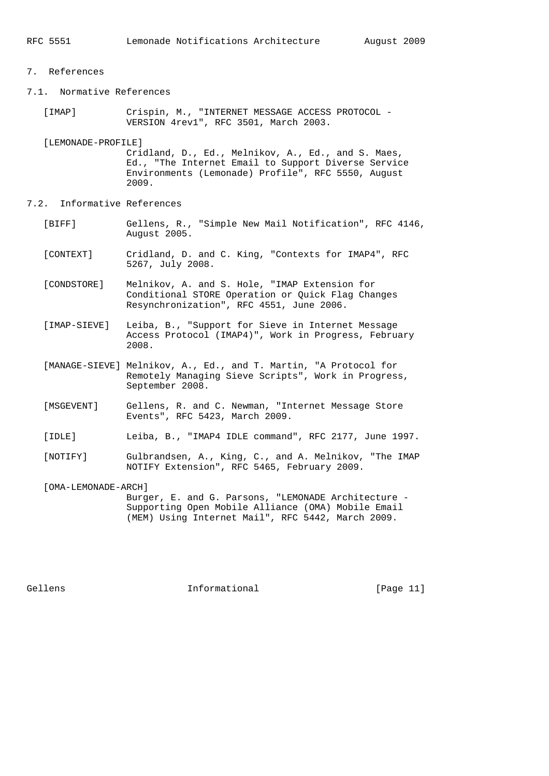# 7. References

- 7.1. Normative References
	- [IMAP] Crispin, M., "INTERNET MESSAGE ACCESS PROTOCOL VERSION 4rev1", RFC 3501, March 2003.

[LEMONADE-PROFILE]

 Cridland, D., Ed., Melnikov, A., Ed., and S. Maes, Ed., "The Internet Email to Support Diverse Service Environments (Lemonade) Profile", RFC 5550, August 2009.

- 7.2. Informative References
	- [BIFF] Gellens, R., "Simple New Mail Notification", RFC 4146, August 2005.
	- [CONTEXT] Cridland, D. and C. King, "Contexts for IMAP4", RFC 5267, July 2008.
	- [CONDSTORE] Melnikov, A. and S. Hole, "IMAP Extension for Conditional STORE Operation or Quick Flag Changes Resynchronization", RFC 4551, June 2006.
	- [IMAP-SIEVE] Leiba, B., "Support for Sieve in Internet Message Access Protocol (IMAP4)", Work in Progress, February 2008.
	- [MANAGE-SIEVE] Melnikov, A., Ed., and T. Martin, "A Protocol for Remotely Managing Sieve Scripts", Work in Progress, September 2008.
	- [MSGEVENT] Gellens, R. and C. Newman, "Internet Message Store Events", RFC 5423, March 2009.
	- [IDLE] Leiba, B., "IMAP4 IDLE command", RFC 2177, June 1997.
	- [NOTIFY] Gulbrandsen, A., King, C., and A. Melnikov, "The IMAP NOTIFY Extension", RFC 5465, February 2009.
	- [OMA-LEMONADE-ARCH] Burger, E. and G. Parsons, "LEMONADE Architecture - Supporting Open Mobile Alliance (OMA) Mobile Email (MEM) Using Internet Mail", RFC 5442, March 2009.

Gellens 1nformational [Page 11]